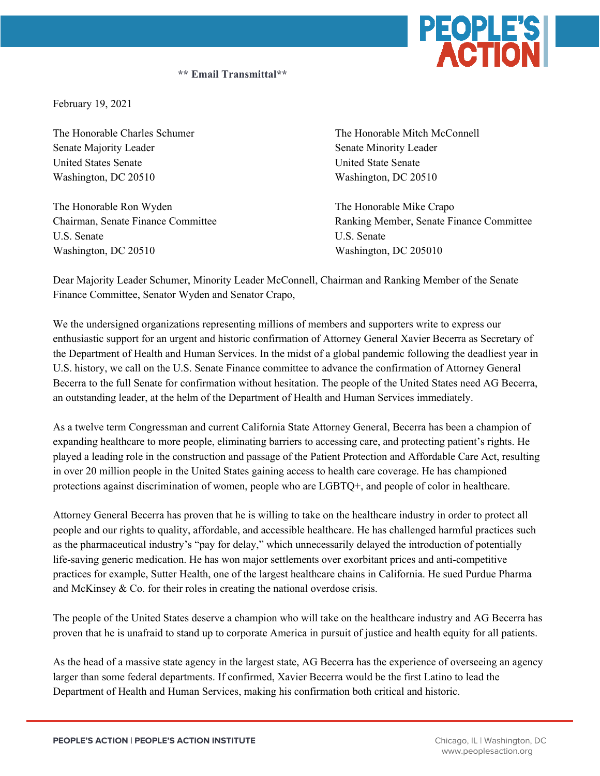

**\*\* Email Transmittal\*\***

February 19, 2021

Senate Majority Leader Senate Minority Leader United States Senate United State Senate Washington, DC 20510 Washington, DC 20510

The Honorable Ron Wyden The Honorable Mike Crapo U.S. Senate U.S. Senate Washington, DC 20510 Washington, DC 205010

The Honorable Charles Schumer The Honorable Mitch McConnell

Chairman, Senate Finance Committee Ranking Member, Senate Finance Committee

Dear Majority Leader Schumer, Minority Leader McConnell, Chairman and Ranking Member of the Senate Finance Committee, Senator Wyden and Senator Crapo,

We the undersigned organizations representing millions of members and supporters write to express our enthusiastic support for an urgent and historic confirmation of Attorney General Xavier Becerra as Secretary of the Department of Health and Human Services. In the midst of a global pandemic following the deadliest year in U.S. history, we call on the U.S. Senate Finance committee to advance the confirmation of Attorney General Becerra to the full Senate for confirmation without hesitation. The people of the United States need AG Becerra, an outstanding leader, at the helm of the Department of Health and Human Services immediately.

As a twelve term Congressman and current California State Attorney General, Becerra has been a champion of expanding healthcare to more people, eliminating barriers to accessing care, and protecting patient's rights. He played a leading role in the construction and passage of the Patient Protection and Affordable Care Act, resulting in over 20 million people in the United States gaining access to health care coverage. He has championed protections against discrimination of women, people who are LGBTQ+, and people of color in healthcare.

Attorney General Becerra has proven that he is willing to take on the healthcare industry in order to protect all people and our rights to quality, affordable, and accessible healthcare. He has challenged harmful practices such as the pharmaceutical industry's "pay for delay," which unnecessarily delayed the introduction of potentially life-saving generic medication. He has won major settlements over exorbitant prices and anti-competitive practices for example, Sutter Health, one of the largest healthcare chains in California. He sued Purdue Pharma and McKinsey & Co. for their roles in creating the national overdose crisis.

The people of the United States deserve a champion who will take on the healthcare industry and AG Becerra has proven that he is unafraid to stand up to corporate America in pursuit of justice and health equity for all patients.

As the head of a massive state agency in the largest state, AG Becerra has the experience of overseeing an agency larger than some federal departments. If confirmed, Xavier Becerra would be the first Latino to lead the Department of Health and Human Services, making his confirmation both critical and historic.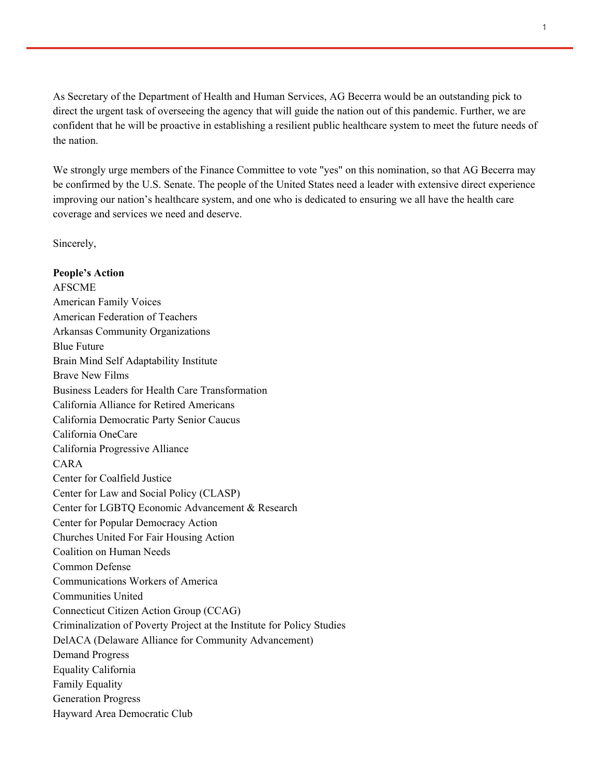As Secretary of the Department of Health and Human Services, AG Becerra would be an outstanding pick to direct the urgent task of overseeing the agency that will guide the nation out of this pandemic. Further, we are confident that he will be proactive in establishing a resilient public healthcare system to meet the future needs of the nation.

We strongly urge members of the Finance Committee to vote "yes" on this nomination, so that AG Becerra may be confirmed by the U.S. Senate. The people of the United States need a leader with extensive direct experience improving our nation's healthcare system, and one who is dedicated to ensuring we all have the health care coverage and services we need and deserve.

Sincerely,

**People's Action**  AFSCME American Family Voices American Federation of Teachers Arkansas Community Organizations Blue Future Brain Mind Self Adaptability Institute Brave New Films Business Leaders for Health Care Transformation California Alliance for Retired Americans California Democratic Party Senior Caucus California OneCare California Progressive Alliance CARA Center for Coalfield Justice Center for Law and Social Policy (CLASP) Center for LGBTQ Economic Advancement & Research Center for Popular Democracy Action Churches United For Fair Housing Action Coalition on Human Needs Common Defense Communications Workers of America Communities United Connecticut Citizen Action Group (CCAG) Criminalization of Poverty Project at the Institute for Policy Studies DelACA (Delaware Alliance for Community Advancement) Demand Progress Equality California Family Equality Generation Progress Hayward Area Democratic Club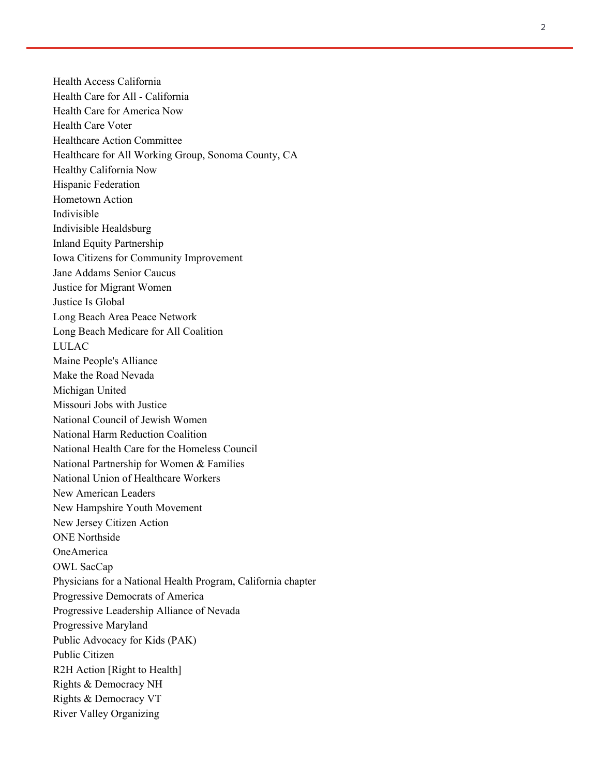Health Access California Health Care for All - California Health Care for America Now Health Care Voter Healthcare Action Committee Healthcare for All Working Group, Sonoma County, CA Healthy California Now Hispanic Federation Hometown Action Indivisible Indivisible Healdsburg Inland Equity Partnership Iowa Citizens for Community Improvement Jane Addams Senior Caucus Justice for Migrant Women Justice Is Global Long Beach Area Peace Network Long Beach Medicare for All Coalition LULAC Maine People's Alliance Make the Road Nevada Michigan United Missouri Jobs with Justice National Council of Jewish Women National Harm Reduction Coalition National Health Care for the Homeless Council National Partnership for Women & Families National Union of Healthcare Workers New American Leaders New Hampshire Youth Movement New Jersey Citizen Action ONE Northside OneAmerica OWL SacCap Physicians for a National Health Program, California chapter Progressive Democrats of America Progressive Leadership Alliance of Nevada Progressive Maryland Public Advocacy for Kids (PAK) Public Citizen R2H Action [Right to Health] Rights & Democracy NH Rights & Democracy VT River Valley Organizing